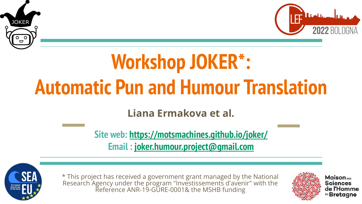



# **Workshop JOKER\*: Automatic Pun and Humour Translation**

**Liana Ermakova et al.**

**Site web: <https://motsmachines.github.io/joker/> Email : [joker.humour.project@gmail.com](mailto:joker.humour.project@gmail.com)**



\* This project has received a government grant managed by the National Research Agency under the program "Investissements d'avenir" with the Reference ANR-19-GURE-0001& the MSHB funding

**Maison**<sub>DES</sub> **Sciences** de l'Homme EN Bretagne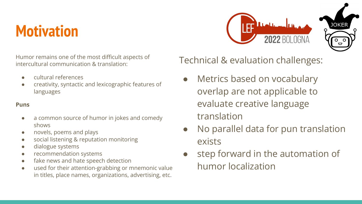### **Motivation**



Humor remains one of the most difficult aspects of intercultural communication & translation:

- cultural references
- creativity, syntactic and lexicographic features of languages

#### **Puns**

- a common source of humor in jokes and comedy shows
- novels, poems and plays
- social listening & reputation monitoring
- dialogue systems
- recommendation systems
- fake news and hate speech detection
- used for their attention-grabbing or mnemonic value in titles, place names, organizations, advertising, etc.

Technical & evaluation challenges:

- Metrics based on vocabulary overlap are not applicable to evaluate creative language translation
- No parallel data for pun translation exists
- step forward in the automation of humor localization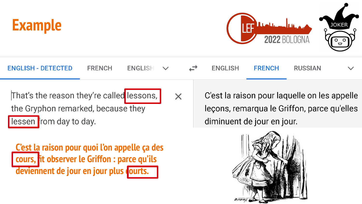



| <b>ENGLISH - DETECTED</b>                                                                                  | FRENCH | $ENGLISH$ $\vee$ |          | $\overline{a}$ | ENGLISH                    | <b>FRENCH</b> | RUSSIAN                                                                                     | $\vee$ |
|------------------------------------------------------------------------------------------------------------|--------|------------------|----------|----------------|----------------------------|---------------|---------------------------------------------------------------------------------------------|--------|
| That's the reason they're called lessons,<br>the Gryphon remarked, because they<br>lessen from day to day. |        |                  | $\times$ |                | diminuent de jour en jour. |               | C'est la raison pour laquelle on les appelle<br>leçons, remarqua le Griffon, parce qu'elles |        |
|                                                                                                            |        |                  |          |                |                            |               |                                                                                             |        |

**C'est la raison pour quoi l'on appelle ça des cours, fit observer le Griffon : parce qu'ils**  deviennent de jour en jour plus courts.

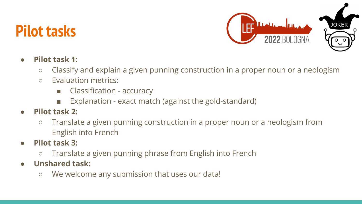### **Pilot tasks**



#### ● **Pilot task 1:**

- Classify and explain a given punning construction in a proper noun or a neologism
- Evaluation metrics:
	- Classification accuracy
	- Explanation exact match (against the gold-standard)
- **Pilot task 2:**
	- Translate a given punning construction in a proper noun or a neologism from English into French
- **● Pilot task 3:** 
	- Translate a given punning phrase from English into French
- **● Unshared task:**
	- We welcome any submission that uses our data!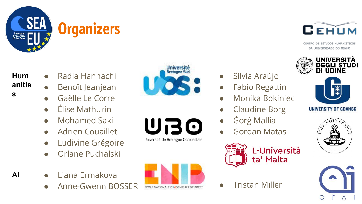



CENTRO DE ESTUDOS HUMANÍSTICOS DA UNIVERSIDADE DO MINHO



Sílvia Araújo

**Fabio Regattin** 

**Claudine Borg** 

Gordan Matas

L-Università

ta' Malta

● Ġorġ Mallia

● Monika Bokiniec

UNIVERSITY OF GDANSK





**Hum anitie**

**s**

- Radia Hannachi
- Benoît Jeanjean
- Gaëlle Le Corre
- Élise Mathurin
- Mohamed Saki
- Adrien Couaillet
- Ludivine Grégoire
- Orlane Puchalski
- **AI** Liana Ermakova
	- Anne-Gwenn BOSSER **FRIGHELLE OTHIGENIEURS DE BREST** OF Tristan Miller



Université de Bretagne Occidentale